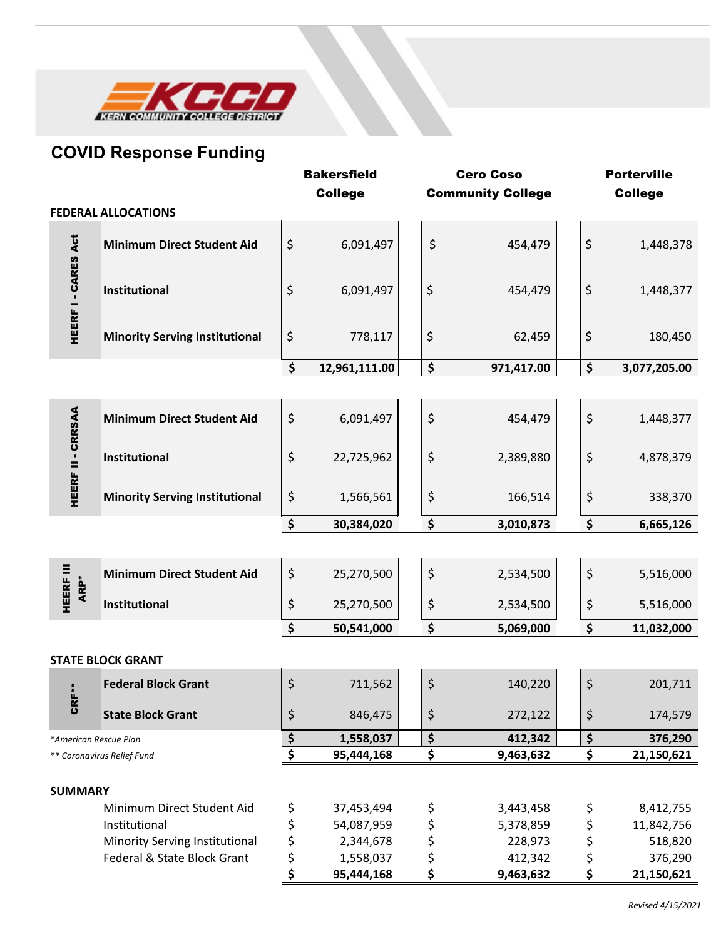

## **COVID Response Funding**

|                            |                                       |               | <b>Bakersfield</b> | <b>Cero Coso</b> |    | <b>Porterville</b>       |    |                |
|----------------------------|---------------------------------------|---------------|--------------------|------------------|----|--------------------------|----|----------------|
|                            |                                       |               | <b>College</b>     |                  |    | <b>Community College</b> |    | <b>College</b> |
|                            | <b>FEDERAL ALLOCATIONS</b>            |               |                    |                  |    |                          |    |                |
| HEERF I - CARES Act        | <b>Minimum Direct Student Aid</b>     | \$            | 6,091,497          |                  | \$ | 454,479                  | \$ | 1,448,378      |
|                            | Institutional                         | \$            | 6,091,497          |                  | \$ | 454,479                  | \$ | 1,448,377      |
|                            | <b>Minority Serving Institutional</b> | \$            | 778,117            |                  | \$ | 62,459                   | \$ | 180,450        |
|                            |                                       | \$            | 12,961,111.00      |                  | \$ | 971,417.00               | \$ | 3,077,205.00   |
|                            |                                       |               |                    |                  |    |                          |    |                |
| HEERF II - CRRSAA          | <b>Minimum Direct Student Aid</b>     | \$            | 6,091,497          |                  | \$ | 454,479                  | \$ | 1,448,377      |
|                            | Institutional                         | \$            | 22,725,962         |                  | \$ | 2,389,880                | \$ | 4,878,379      |
|                            | <b>Minority Serving Institutional</b> | \$            | 1,566,561          |                  | \$ | 166,514                  | \$ | 338,370        |
|                            |                                       | \$            | 30,384,020         |                  | \$ | 3,010,873                | \$ | 6,665,126      |
|                            |                                       |               |                    |                  |    |                          |    |                |
| <b>HEERF III</b><br>ARP*   | <b>Minimum Direct Student Aid</b>     | \$            | 25,270,500         |                  | \$ | 2,534,500                | \$ | 5,516,000      |
|                            | Institutional                         | \$            | 25,270,500         |                  | \$ | 2,534,500                | \$ | 5,516,000      |
|                            |                                       | \$            | 50,541,000         |                  | \$ | 5,069,000                | \$ | 11,032,000     |
|                            |                                       |               |                    |                  |    |                          |    |                |
|                            | <b>STATE BLOCK GRANT</b>              |               |                    |                  |    |                          |    |                |
| $CRF^**$                   | <b>Federal Block Grant</b>            | \$            | 711,562            |                  | \$ | 140,220                  | \$ | 201,711        |
|                            | <b>State Block Grant</b>              | \$            | 846,475            |                  | \$ | 272,122                  | \$ | 174,579        |
| *American Rescue Plan      |                                       | $\frac{1}{2}$ | 1,558,037          |                  | \$ | 412,342                  | \$ | 376,290        |
| ** Coronavirus Relief Fund |                                       | \$            | 95,444,168         |                  | \$ | 9,463,632                | \$ | 21,150,621     |
| <b>SUMMARY</b>             |                                       |               |                    |                  |    |                          |    |                |
|                            | Minimum Direct Student Aid            | \$            | 37,453,494         |                  | \$ | 3,443,458                | \$ | 8,412,755      |
|                            | Institutional                         | \$            | 54,087,959         |                  | \$ | 5,378,859                | \$ | 11,842,756     |
|                            | Minority Serving Institutional        | \$            | 2,344,678          |                  | \$ | 228,973                  | \$ | 518,820        |
|                            | Federal & State Block Grant           | \$            | 1,558,037          |                  | \$ | 412,342                  | \$ | 376,290        |
|                            |                                       | \$            | 95,444,168         |                  | \$ | 9,463,632                | \$ | 21,150,621     |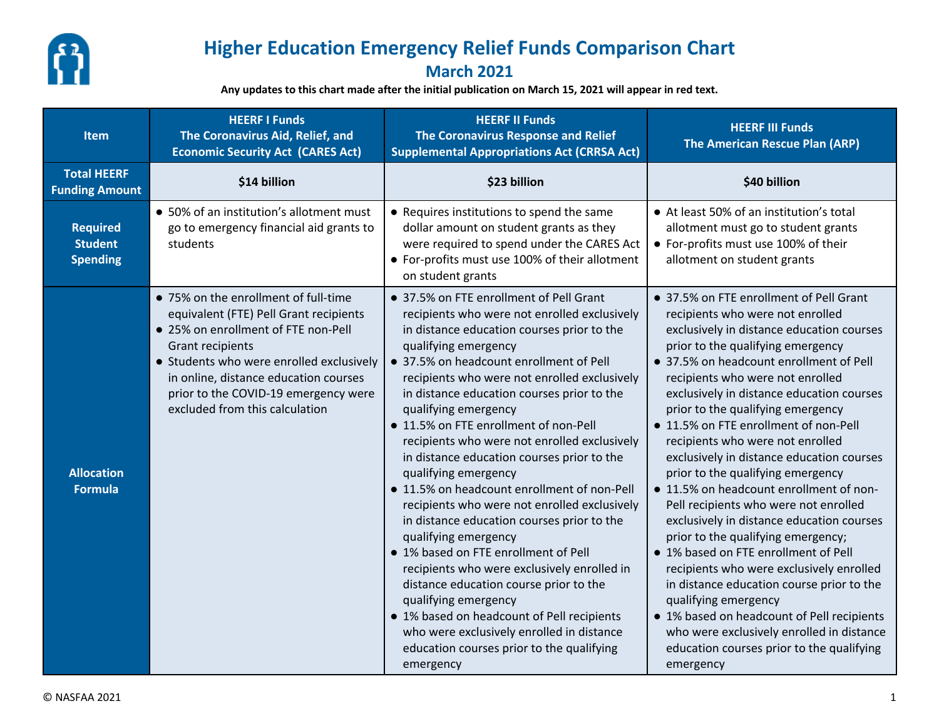

## **Higher Education Emergency Relief Funds Comparison Chart**

## **March 2021**

**Any updates to this chart made after the initial publication on March 15, 2021 will appear in red text.**

| <b>Item</b>                                                 | <b>HEERF I Funds</b><br>The Coronavirus Aid, Relief, and<br><b>Economic Security Act (CARES Act)</b>                                                                                                                                                                                                            | <b>HEERF II Funds</b><br>The Coronavirus Response and Relief<br><b>Supplemental Appropriations Act (CRRSA Act)</b>                                                                                                                                                                                                                                                                                                                                                                                                                                                                                                                                                                                                                                                                                                                                                                                                                                                               | <b>HEERF III Funds</b><br>The American Rescue Plan (ARP)                                                                                                                                                                                                                                                                                                                                                                                                                                                                                                                                                                                                                                                                                                                                                                                                                                                                                                                           |  |  |
|-------------------------------------------------------------|-----------------------------------------------------------------------------------------------------------------------------------------------------------------------------------------------------------------------------------------------------------------------------------------------------------------|----------------------------------------------------------------------------------------------------------------------------------------------------------------------------------------------------------------------------------------------------------------------------------------------------------------------------------------------------------------------------------------------------------------------------------------------------------------------------------------------------------------------------------------------------------------------------------------------------------------------------------------------------------------------------------------------------------------------------------------------------------------------------------------------------------------------------------------------------------------------------------------------------------------------------------------------------------------------------------|------------------------------------------------------------------------------------------------------------------------------------------------------------------------------------------------------------------------------------------------------------------------------------------------------------------------------------------------------------------------------------------------------------------------------------------------------------------------------------------------------------------------------------------------------------------------------------------------------------------------------------------------------------------------------------------------------------------------------------------------------------------------------------------------------------------------------------------------------------------------------------------------------------------------------------------------------------------------------------|--|--|
| <b>Total HEERF</b><br>\$14 billion<br><b>Funding Amount</b> |                                                                                                                                                                                                                                                                                                                 | \$23 billion                                                                                                                                                                                                                                                                                                                                                                                                                                                                                                                                                                                                                                                                                                                                                                                                                                                                                                                                                                     | \$40 billion                                                                                                                                                                                                                                                                                                                                                                                                                                                                                                                                                                                                                                                                                                                                                                                                                                                                                                                                                                       |  |  |
| <b>Required</b><br><b>Student</b><br><b>Spending</b>        | • 50% of an institution's allotment must<br>go to emergency financial aid grants to<br>students                                                                                                                                                                                                                 | • Requires institutions to spend the same<br>dollar amount on student grants as they<br>were required to spend under the CARES Act<br>• For-profits must use 100% of their allotment<br>on student grants                                                                                                                                                                                                                                                                                                                                                                                                                                                                                                                                                                                                                                                                                                                                                                        | • At least 50% of an institution's total<br>allotment must go to student grants<br>• For-profits must use 100% of their<br>allotment on student grants                                                                                                                                                                                                                                                                                                                                                                                                                                                                                                                                                                                                                                                                                                                                                                                                                             |  |  |
| <b>Allocation</b><br><b>Formula</b>                         | • 75% on the enrollment of full-time<br>equivalent (FTE) Pell Grant recipients<br>• 25% on enrollment of FTE non-Pell<br><b>Grant recipients</b><br>• Students who were enrolled exclusively<br>in online, distance education courses<br>prior to the COVID-19 emergency were<br>excluded from this calculation | • 37.5% on FTE enrollment of Pell Grant<br>recipients who were not enrolled exclusively<br>in distance education courses prior to the<br>qualifying emergency<br>• 37.5% on headcount enrollment of Pell<br>recipients who were not enrolled exclusively<br>in distance education courses prior to the<br>qualifying emergency<br>• 11.5% on FTE enrollment of non-Pell<br>recipients who were not enrolled exclusively<br>in distance education courses prior to the<br>qualifying emergency<br>• 11.5% on headcount enrollment of non-Pell<br>recipients who were not enrolled exclusively<br>in distance education courses prior to the<br>qualifying emergency<br>• 1% based on FTE enrollment of Pell<br>recipients who were exclusively enrolled in<br>distance education course prior to the<br>qualifying emergency<br>• 1% based on headcount of Pell recipients<br>who were exclusively enrolled in distance<br>education courses prior to the qualifying<br>emergency | • 37.5% on FTE enrollment of Pell Grant<br>recipients who were not enrolled<br>exclusively in distance education courses<br>prior to the qualifying emergency<br>• 37.5% on headcount enrollment of Pell<br>recipients who were not enrolled<br>exclusively in distance education courses<br>prior to the qualifying emergency<br>• 11.5% on FTE enrollment of non-Pell<br>recipients who were not enrolled<br>exclusively in distance education courses<br>prior to the qualifying emergency<br>• 11.5% on headcount enrollment of non-<br>Pell recipients who were not enrolled<br>exclusively in distance education courses<br>prior to the qualifying emergency;<br>• 1% based on FTE enrollment of Pell<br>recipients who were exclusively enrolled<br>in distance education course prior to the<br>qualifying emergency<br>• 1% based on headcount of Pell recipients<br>who were exclusively enrolled in distance<br>education courses prior to the qualifying<br>emergency |  |  |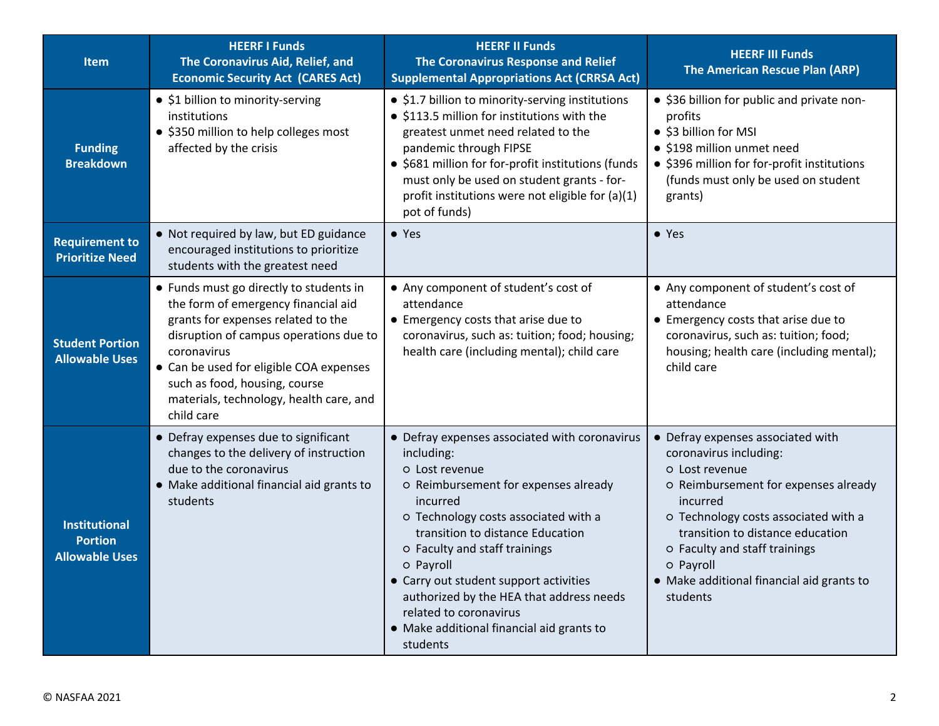| <b>Item</b>                                                     | <b>HEERF I Funds</b><br>The Coronavirus Aid, Relief, and<br><b>Economic Security Act (CARES Act)</b>                                                                                                                                                                                                               | <b>HEERF II Funds</b><br>The Coronavirus Response and Relief<br><b>Supplemental Appropriations Act (CRRSA Act)</b>                                                                                                                                                                                                                                                                                                                   | <b>HEERF III Funds</b><br><b>The American Rescue Plan (ARP)</b>                                                                                                                                                                                                                                                      |  |  |
|-----------------------------------------------------------------|--------------------------------------------------------------------------------------------------------------------------------------------------------------------------------------------------------------------------------------------------------------------------------------------------------------------|--------------------------------------------------------------------------------------------------------------------------------------------------------------------------------------------------------------------------------------------------------------------------------------------------------------------------------------------------------------------------------------------------------------------------------------|----------------------------------------------------------------------------------------------------------------------------------------------------------------------------------------------------------------------------------------------------------------------------------------------------------------------|--|--|
| <b>Funding</b><br><b>Breakdown</b>                              | • \$1 billion to minority-serving<br>institutions<br>• \$350 million to help colleges most<br>affected by the crisis                                                                                                                                                                                               | • \$1.7 billion to minority-serving institutions<br>• \$113.5 million for institutions with the<br>greatest unmet need related to the<br>pandemic through FIPSE<br>• \$681 million for for-profit institutions (funds<br>must only be used on student grants - for-<br>profit institutions were not eligible for (a)(1)<br>pot of funds)                                                                                             | • \$36 billion for public and private non-<br>profits<br>• \$3 billion for MSI<br>• \$198 million unmet need<br>• \$396 million for for-profit institutions<br>(funds must only be used on student<br>grants)                                                                                                        |  |  |
| <b>Requirement to</b><br><b>Prioritize Need</b>                 | • Not required by law, but ED guidance<br>encouraged institutions to prioritize<br>students with the greatest need                                                                                                                                                                                                 | $\bullet$ Yes                                                                                                                                                                                                                                                                                                                                                                                                                        | • Yes                                                                                                                                                                                                                                                                                                                |  |  |
| <b>Student Portion</b><br><b>Allowable Uses</b>                 | • Funds must go directly to students in<br>the form of emergency financial aid<br>grants for expenses related to the<br>disruption of campus operations due to<br>coronavirus<br>• Can be used for eligible COA expenses<br>such as food, housing, course<br>materials, technology, health care, and<br>child care | • Any component of student's cost of<br>attendance<br>• Emergency costs that arise due to<br>coronavirus, such as: tuition; food; housing;<br>health care (including mental); child care                                                                                                                                                                                                                                             | • Any component of student's cost of<br>attendance<br>• Emergency costs that arise due to<br>coronavirus, such as: tuition; food;<br>housing; health care (including mental);<br>child care                                                                                                                          |  |  |
| <b>Institutional</b><br><b>Portion</b><br><b>Allowable Uses</b> | • Defray expenses due to significant<br>changes to the delivery of instruction<br>due to the coronavirus<br>• Make additional financial aid grants to<br>students                                                                                                                                                  | • Defray expenses associated with coronavirus<br>including:<br>o Lost revenue<br>O Reimbursement for expenses already<br>incurred<br>o Technology costs associated with a<br>transition to distance Education<br>O Faculty and staff trainings<br>o Payroll<br>• Carry out student support activities<br>authorized by the HEA that address needs<br>related to coronavirus<br>• Make additional financial aid grants to<br>students | • Defray expenses associated with<br>coronavirus including:<br>o Lost revenue<br>O Reimbursement for expenses already<br>incurred<br>o Technology costs associated with a<br>transition to distance education<br>O Faculty and staff trainings<br>o Payroll<br>• Make additional financial aid grants to<br>students |  |  |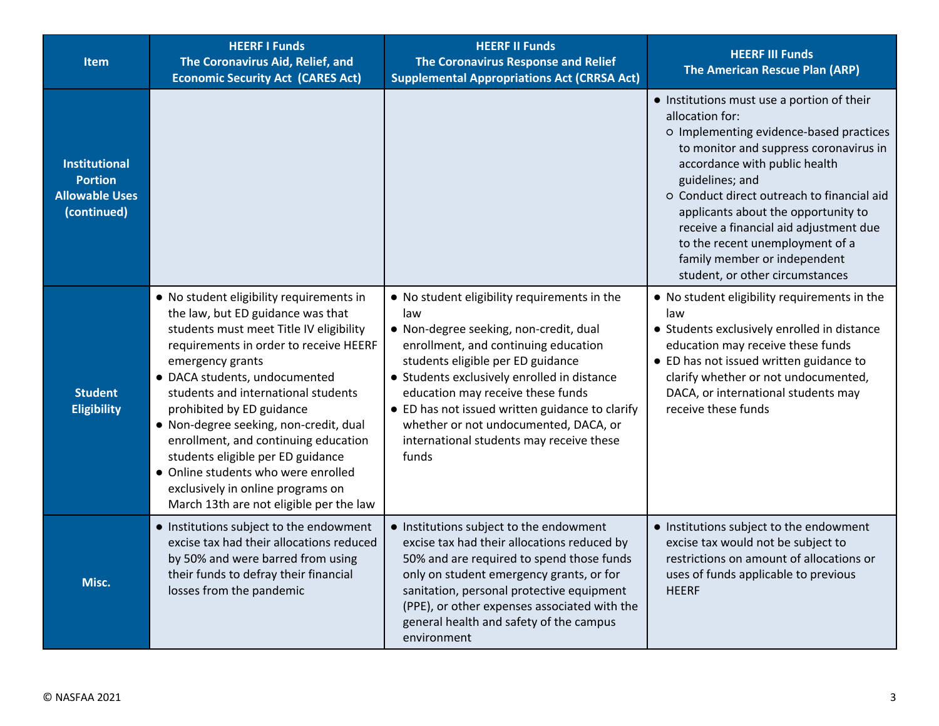| <b>Item</b>                                                                    | <b>HEERF I Funds</b><br>The Coronavirus Aid, Relief, and<br><b>Economic Security Act (CARES Act)</b>                                                                                                                                                                                                                                                                                                                                                                                                                                      | <b>HEERF II Funds</b><br>The Coronavirus Response and Relief<br><b>Supplemental Appropriations Act (CRRSA Act)</b>                                                                                                                                                                                                                                                                                              | <b>HEERF III Funds</b><br>The American Rescue Plan (ARP)                                                                                                                                                                                                                                                                                                                                                                                    |
|--------------------------------------------------------------------------------|-------------------------------------------------------------------------------------------------------------------------------------------------------------------------------------------------------------------------------------------------------------------------------------------------------------------------------------------------------------------------------------------------------------------------------------------------------------------------------------------------------------------------------------------|-----------------------------------------------------------------------------------------------------------------------------------------------------------------------------------------------------------------------------------------------------------------------------------------------------------------------------------------------------------------------------------------------------------------|---------------------------------------------------------------------------------------------------------------------------------------------------------------------------------------------------------------------------------------------------------------------------------------------------------------------------------------------------------------------------------------------------------------------------------------------|
| <b>Institutional</b><br><b>Portion</b><br><b>Allowable Uses</b><br>(continued) |                                                                                                                                                                                                                                                                                                                                                                                                                                                                                                                                           |                                                                                                                                                                                                                                                                                                                                                                                                                 | • Institutions must use a portion of their<br>allocation for:<br>o Implementing evidence-based practices<br>to monitor and suppress coronavirus in<br>accordance with public health<br>guidelines; and<br>o Conduct direct outreach to financial aid<br>applicants about the opportunity to<br>receive a financial aid adjustment due<br>to the recent unemployment of a<br>family member or independent<br>student, or other circumstances |
| <b>Student</b><br><b>Eligibility</b>                                           | • No student eligibility requirements in<br>the law, but ED guidance was that<br>students must meet Title IV eligibility<br>requirements in order to receive HEERF<br>emergency grants<br>• DACA students, undocumented<br>students and international students<br>prohibited by ED guidance<br>• Non-degree seeking, non-credit, dual<br>enrollment, and continuing education<br>students eligible per ED guidance<br>• Online students who were enrolled<br>exclusively in online programs on<br>March 13th are not eligible per the law | . No student eligibility requirements in the<br>law<br>. Non-degree seeking, non-credit, dual<br>enrollment, and continuing education<br>students eligible per ED guidance<br>• Students exclusively enrolled in distance<br>education may receive these funds<br>• ED has not issued written guidance to clarify<br>whether or not undocumented, DACA, or<br>international students may receive these<br>funds | • No student eligibility requirements in the<br>law<br>• Students exclusively enrolled in distance<br>education may receive these funds<br>• ED has not issued written guidance to<br>clarify whether or not undocumented,<br>DACA, or international students may<br>receive these funds                                                                                                                                                    |
| Misc.                                                                          | • Institutions subject to the endowment<br>excise tax had their allocations reduced<br>by 50% and were barred from using<br>their funds to defray their financial<br>losses from the pandemic                                                                                                                                                                                                                                                                                                                                             | • Institutions subject to the endowment<br>excise tax had their allocations reduced by<br>50% and are required to spend those funds<br>only on student emergency grants, or for<br>sanitation, personal protective equipment<br>(PPE), or other expenses associated with the<br>general health and safety of the campus<br>environment                                                                          | • Institutions subject to the endowment<br>excise tax would not be subject to<br>restrictions on amount of allocations or<br>uses of funds applicable to previous<br><b>HEERF</b>                                                                                                                                                                                                                                                           |